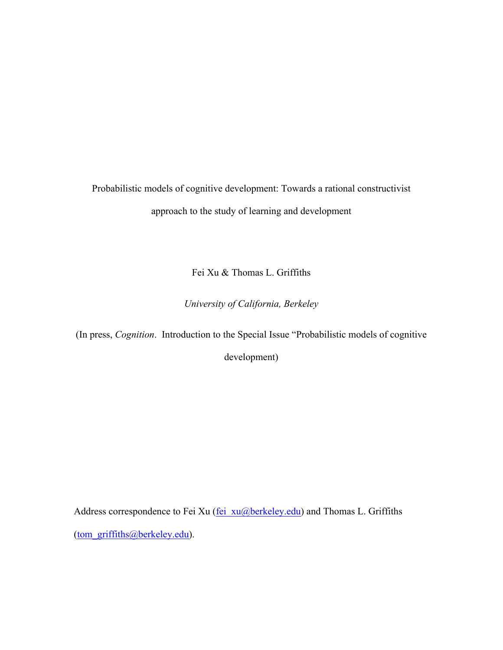Probabilistic models of cognitive development: Towards a rational constructivist approach to the study of learning and development

Fei Xu & Thomas L. Griffiths

*University of California, Berkeley*

(In press, *Cognition*. Introduction to the Special Issue "Probabilistic models of cognitive

development)

Address correspondence to Fei Xu (fei\_xu@berkeley.edu) and Thomas L. Griffiths (tom\_griffiths@berkeley.edu).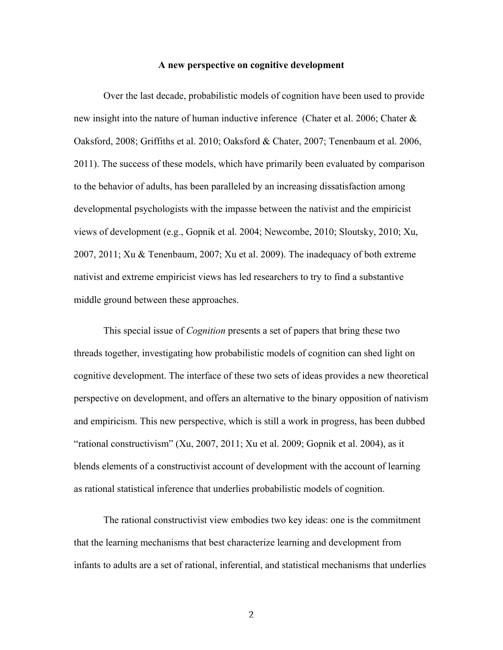#### **A new perspective on cognitive development**

Over the last decade, probabilistic models of cognition have been used to provide new insight into the nature of human inductive inference (Chater et al. 2006; Chater & Oaksford, 2008; Griffiths et al. 2010; Oaksford & Chater, 2007; Tenenbaum et al. 2006, 2011). The success of these models, which have primarily been evaluated by comparison to the behavior of adults, has been paralleled by an increasing dissatisfaction among developmental psychologists with the impasse between the nativist and the empiricist views of development (e.g., Gopnik et al. 2004; Newcombe, 2010; Sloutsky, 2010; Xu, 2007, 2011; Xu & Tenenbaum, 2007; Xu et al. 2009). The inadequacy of both extreme nativist and extreme empiricist views has led researchers to try to find a substantive middle ground between these approaches.

This special issue of *Cognition* presents a set of papers that bring these two threads together, investigating how probabilistic models of cognition can shed light on cognitive development. The interface of these two sets of ideas provides a new theoretical perspective on development, and offers an alternative to the binary opposition of nativism and empiricism. This new perspective, which is still a work in progress, has been dubbed "rational constructivism" (Xu, 2007, 2011; Xu et al. 2009; Gopnik et al. 2004), as it blends elements of a constructivist account of development with the account of learning as rational statistical inference that underlies probabilistic models of cognition.

The rational constructivist view embodies two key ideas: one is the commitment that the learning mechanisms that best characterize learning and development from infants to adults are a set of rational, inferential, and statistical mechanisms that underlies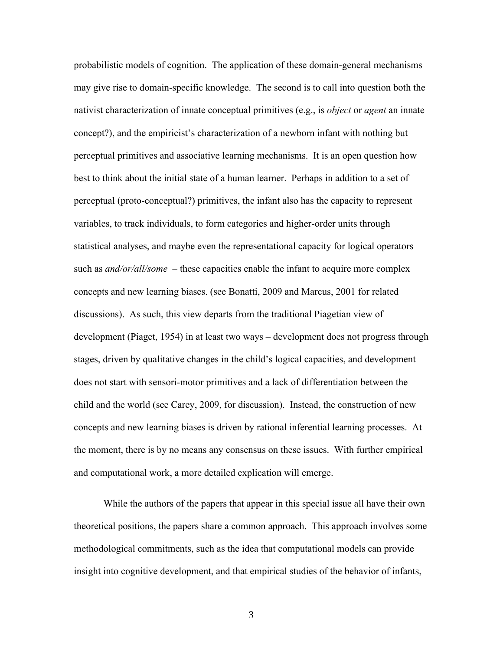probabilistic models of cognition. The application of these domain-general mechanisms may give rise to domain-specific knowledge. The second is to call into question both the nativist characterization of innate conceptual primitives (e.g., is *object* or *agent* an innate concept?), and the empiricist's characterization of a newborn infant with nothing but perceptual primitives and associative learning mechanisms. It is an open question how best to think about the initial state of a human learner. Perhaps in addition to a set of perceptual (proto-conceptual?) primitives, the infant also has the capacity to represent variables, to track individuals, to form categories and higher-order units through statistical analyses, and maybe even the representational capacity for logical operators such as *and/or/all/some* – these capacities enable the infant to acquire more complex concepts and new learning biases. (see Bonatti, 2009 and Marcus, 2001 for related discussions). As such, this view departs from the traditional Piagetian view of development (Piaget, 1954) in at least two ways – development does not progress through stages, driven by qualitative changes in the child's logical capacities, and development does not start with sensori-motor primitives and a lack of differentiation between the child and the world (see Carey, 2009, for discussion). Instead, the construction of new concepts and new learning biases is driven by rational inferential learning processes. At the moment, there is by no means any consensus on these issues. With further empirical and computational work, a more detailed explication will emerge.

While the authors of the papers that appear in this special issue all have their own theoretical positions, the papers share a common approach. This approach involves some methodological commitments, such as the idea that computational models can provide insight into cognitive development, and that empirical studies of the behavior of infants,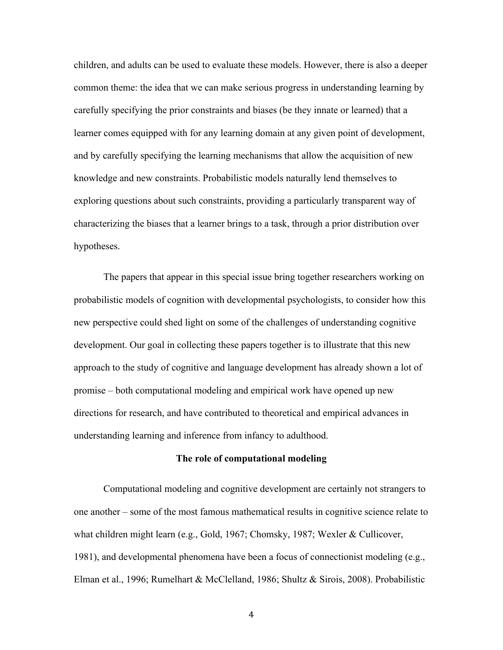children, and adults can be used to evaluate these models. However, there is also a deeper common theme: the idea that we can make serious progress in understanding learning by carefully specifying the prior constraints and biases (be they innate or learned) that a learner comes equipped with for any learning domain at any given point of development, and by carefully specifying the learning mechanisms that allow the acquisition of new knowledge and new constraints. Probabilistic models naturally lend themselves to exploring questions about such constraints, providing a particularly transparent way of characterizing the biases that a learner brings to a task, through a prior distribution over hypotheses.

The papers that appear in this special issue bring together researchers working on probabilistic models of cognition with developmental psychologists, to consider how this new perspective could shed light on some of the challenges of understanding cognitive development. Our goal in collecting these papers together is to illustrate that this new approach to the study of cognitive and language development has already shown a lot of promise – both computational modeling and empirical work have opened up new directions for research, and have contributed to theoretical and empirical advances in understanding learning and inference from infancy to adulthood.

# **The role of computational modeling**

Computational modeling and cognitive development are certainly not strangers to one another – some of the most famous mathematical results in cognitive science relate to what children might learn (e.g., Gold, 1967; Chomsky, 1987; Wexler & Cullicover, 1981), and developmental phenomena have been a focus of connectionist modeling (e.g., Elman et al., 1996; Rumelhart & McClelland, 1986; Shultz & Sirois, 2008). Probabilistic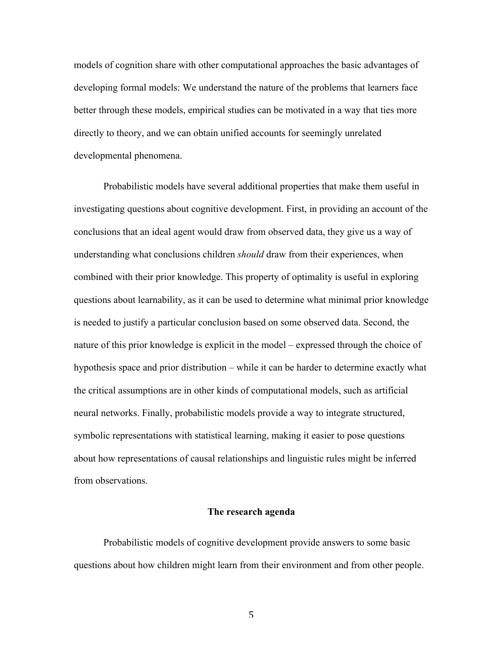models of cognition share with other computational approaches the basic advantages of developing formal models: We understand the nature of the problems that learners face better through these models, empirical studies can be motivated in a way that ties more directly to theory, and we can obtain unified accounts for seemingly unrelated developmental phenomena.

Probabilistic models have several additional properties that make them useful in investigating questions about cognitive development. First, in providing an account of the conclusions that an ideal agent would draw from observed data, they give us a way of understanding what conclusions children *should* draw from their experiences, when combined with their prior knowledge. This property of optimality is useful in exploring questions about learnability, as it can be used to determine what minimal prior knowledge is needed to justify a particular conclusion based on some observed data. Second, the nature of this prior knowledge is explicit in the model – expressed through the choice of hypothesis space and prior distribution – while it can be harder to determine exactly what the critical assumptions are in other kinds of computational models, such as artificial neural networks. Finally, probabilistic models provide a way to integrate structured, symbolic representations with statistical learning, making it easier to pose questions about how representations of causal relationships and linguistic rules might be inferred from observations.

## **The research agenda**

Probabilistic models of cognitive development provide answers to some basic questions about how children might learn from their environment and from other people.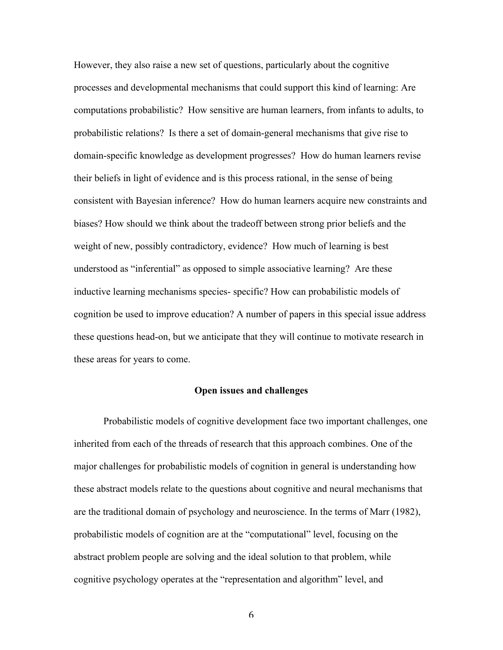However, they also raise a new set of questions, particularly about the cognitive processes and developmental mechanisms that could support this kind of learning: Are computations probabilistic? How sensitive are human learners, from infants to adults, to probabilistic relations? Is there a set of domain-general mechanisms that give rise to domain-specific knowledge as development progresses? How do human learners revise their beliefs in light of evidence and is this process rational, in the sense of being consistent with Bayesian inference? How do human learners acquire new constraints and biases? How should we think about the tradeoff between strong prior beliefs and the weight of new, possibly contradictory, evidence? How much of learning is best understood as "inferential" as opposed to simple associative learning? Are these inductive learning mechanisms species- specific? How can probabilistic models of cognition be used to improve education? A number of papers in this special issue address these questions head-on, but we anticipate that they will continue to motivate research in these areas for years to come.

## **Open issues and challenges**

Probabilistic models of cognitive development face two important challenges, one inherited from each of the threads of research that this approach combines. One of the major challenges for probabilistic models of cognition in general is understanding how these abstract models relate to the questions about cognitive and neural mechanisms that are the traditional domain of psychology and neuroscience. In the terms of Marr (1982), probabilistic models of cognition are at the "computational" level, focusing on the abstract problem people are solving and the ideal solution to that problem, while cognitive psychology operates at the "representation and algorithm" level, and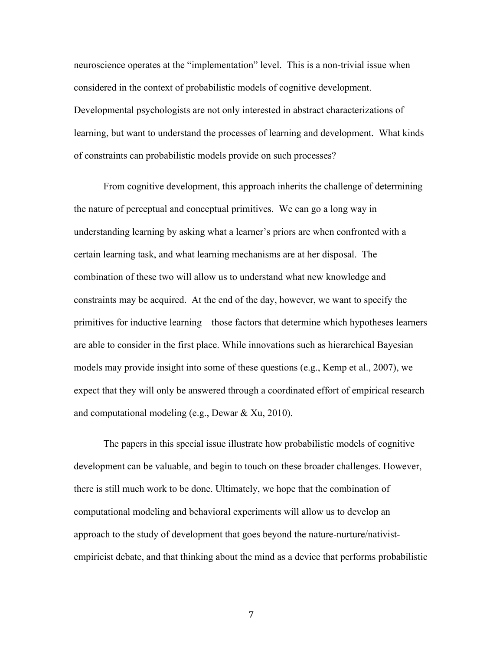neuroscience operates at the "implementation" level. This is a non-trivial issue when considered in the context of probabilistic models of cognitive development. Developmental psychologists are not only interested in abstract characterizations of learning, but want to understand the processes of learning and development. What kinds of constraints can probabilistic models provide on such processes?

From cognitive development, this approach inherits the challenge of determining the nature of perceptual and conceptual primitives. We can go a long way in understanding learning by asking what a learner's priors are when confronted with a certain learning task, and what learning mechanisms are at her disposal. The combination of these two will allow us to understand what new knowledge and constraints may be acquired. At the end of the day, however, we want to specify the primitives for inductive learning – those factors that determine which hypotheses learners are able to consider in the first place. While innovations such as hierarchical Bayesian models may provide insight into some of these questions (e.g., Kemp et al., 2007), we expect that they will only be answered through a coordinated effort of empirical research and computational modeling (e.g., Dewar & Xu, 2010).

The papers in this special issue illustrate how probabilistic models of cognitive development can be valuable, and begin to touch on these broader challenges. However, there is still much work to be done. Ultimately, we hope that the combination of computational modeling and behavioral experiments will allow us to develop an approach to the study of development that goes beyond the nature-nurture/nativistempiricist debate, and that thinking about the mind as a device that performs probabilistic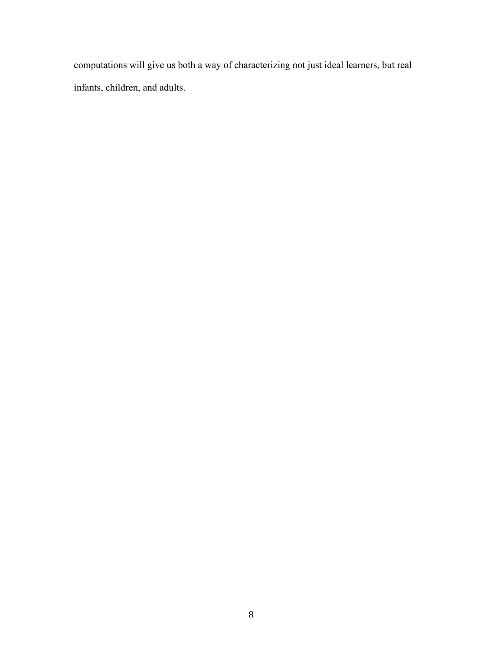computations will give us both a way of characterizing not just ideal learners, but real infants, children, and adults.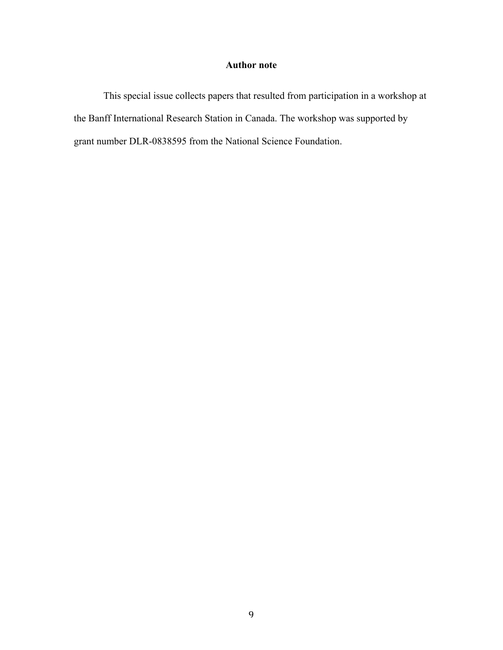# **Author note**

This special issue collects papers that resulted from participation in a workshop at the Banff International Research Station in Canada. The workshop was supported by grant number DLR-0838595 from the National Science Foundation.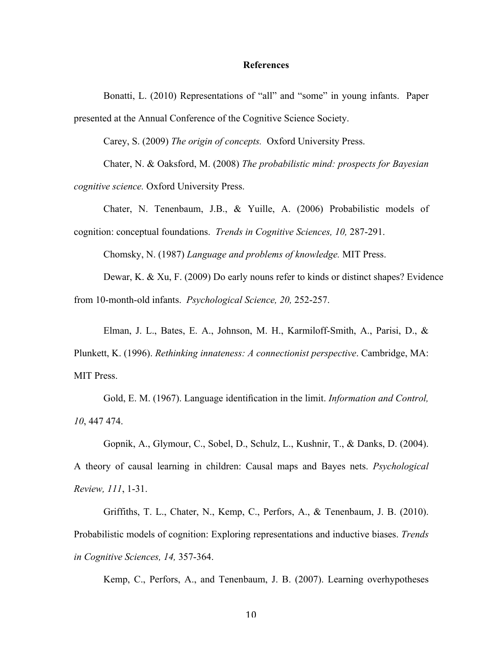#### **References**

Bonatti, L. (2010) Representations of "all" and "some" in young infants. Paper presented at the Annual Conference of the Cognitive Science Society.

Carey, S. (2009) *The origin of concepts.* Oxford University Press.

Chater, N. & Oaksford, M. (2008) *The probabilistic mind: prospects for Bayesian cognitive science.* Oxford University Press.

Chater, N. Tenenbaum, J.B., & Yuille, A. (2006) Probabilistic models of cognition: conceptual foundations. *Trends in Cognitive Sciences, 10,* 287-291.

Chomsky, N. (1987) *Language and problems of knowledge.* MIT Press.

Dewar, K. & Xu, F. (2009) Do early nouns refer to kinds or distinct shapes? Evidence from 10-month-old infants. *Psychological Science, 20,* 252-257.

Elman, J. L., Bates, E. A., Johnson, M. H., Karmiloff-Smith, A., Parisi, D., & Plunkett, K. (1996). *Rethinking innateness: A connectionist perspective*. Cambridge, MA: MIT Press.

Gold, E. M. (1967). Language identification in the limit. *Information and Control, 10*, 447 474.

Gopnik, A., Glymour, C., Sobel, D., Schulz, L., Kushnir, T., & Danks, D. (2004). A theory of causal learning in children: Causal maps and Bayes nets. *Psychological Review, 111*, 1-31.

Griffiths, T. L., Chater, N., Kemp, C., Perfors, A., & Tenenbaum, J. B. (2010). Probabilistic models of cognition: Exploring representations and inductive biases. *Trends in Cognitive Sciences, 14,* 357-364.

Kemp, C., Perfors, A., and Tenenbaum, J. B. (2007). Learning overhypotheses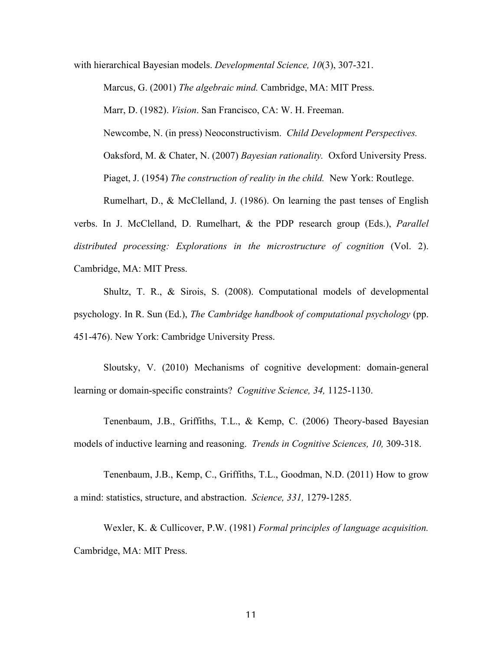with hierarchical Bayesian models. *Developmental Science, 10*(3), 307-321.

Marcus, G. (2001) *The algebraic mind.* Cambridge, MA: MIT Press. Marr, D. (1982). *Vision*. San Francisco, CA: W. H. Freeman. Newcombe, N. (in press) Neoconstructivism. *Child Development Perspectives.* Oaksford, M. & Chater, N. (2007) *Bayesian rationality.* Oxford University Press. Piaget, J. (1954) *The construction of reality in the child.* New York: Routlege. Rumelhart, D., & McClelland, J. (1986). On learning the past tenses of English verbs. In J. McClelland, D. Rumelhart, & the PDP research group (Eds.), *Parallel distributed processing: Explorations in the microstructure of cognition* (Vol. 2).

Cambridge, MA: MIT Press.

Shultz, T. R., & Sirois, S. (2008). Computational models of developmental psychology. In R. Sun (Ed.), *The Cambridge handbook of computational psychology* (pp. 451-476). New York: Cambridge University Press.

Sloutsky, V. (2010) Mechanisms of cognitive development: domain-general learning or domain-specific constraints? *Cognitive Science, 34,* 1125-1130.

Tenenbaum, J.B., Griffiths, T.L., & Kemp, C. (2006) Theory-based Bayesian models of inductive learning and reasoning. *Trends in Cognitive Sciences, 10,* 309-318.

Tenenbaum, J.B., Kemp, C., Griffiths, T.L., Goodman, N.D. (2011) How to grow a mind: statistics, structure, and abstraction. *Science, 331,* 1279-1285.

Wexler, K. & Cullicover, P.W. (1981) *Formal principles of language acquisition.* Cambridge, MA: MIT Press.